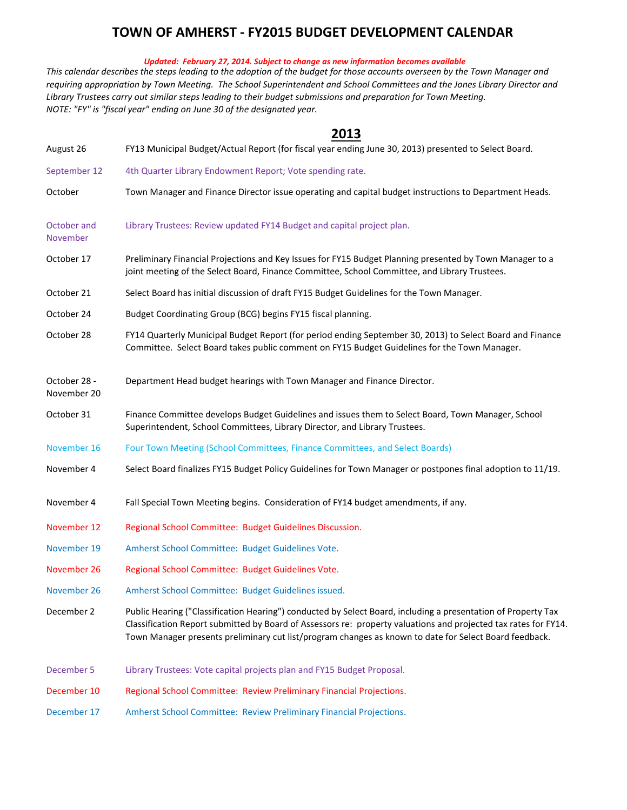## **TOWN OF AMHERST ‐ FY2015 BUDGET DEVELOPMENT CALENDAR**

## *Updated: February 27, 2014. Subject to change as new information becomes available*

*NOTE: "FY" is "fiscal year" ending on June 30 of the designated year.* This calendar describes the steps leading to the adoption of the budget for those accounts overseen by the Town Manager and requiring appropriation by Town Meeting. The School Superintendent and School Committees and the Jones Library Director and *Library Trustees carry out similar steps leading to their budget submissions and preparation for Town Meeting.*

## **2013**

| August 26                   | FY13 Municipal Budget/Actual Report (for fiscal year ending June 30, 2013) presented to Select Board.                                                                                                                                                                                                                                      |
|-----------------------------|--------------------------------------------------------------------------------------------------------------------------------------------------------------------------------------------------------------------------------------------------------------------------------------------------------------------------------------------|
| September 12                | 4th Quarter Library Endowment Report; Vote spending rate.                                                                                                                                                                                                                                                                                  |
| October                     | Town Manager and Finance Director issue operating and capital budget instructions to Department Heads.                                                                                                                                                                                                                                     |
| October and<br>November     | Library Trustees: Review updated FY14 Budget and capital project plan.                                                                                                                                                                                                                                                                     |
| October 17                  | Preliminary Financial Projections and Key Issues for FY15 Budget Planning presented by Town Manager to a<br>joint meeting of the Select Board, Finance Committee, School Committee, and Library Trustees.                                                                                                                                  |
| October 21                  | Select Board has initial discussion of draft FY15 Budget Guidelines for the Town Manager.                                                                                                                                                                                                                                                  |
| October 24                  | Budget Coordinating Group (BCG) begins FY15 fiscal planning.                                                                                                                                                                                                                                                                               |
| October 28                  | FY14 Quarterly Municipal Budget Report (for period ending September 30, 2013) to Select Board and Finance<br>Committee. Select Board takes public comment on FY15 Budget Guidelines for the Town Manager.                                                                                                                                  |
| October 28 -<br>November 20 | Department Head budget hearings with Town Manager and Finance Director.                                                                                                                                                                                                                                                                    |
| October 31                  | Finance Committee develops Budget Guidelines and issues them to Select Board, Town Manager, School<br>Superintendent, School Committees, Library Director, and Library Trustees.                                                                                                                                                           |
| November 16                 | Four Town Meeting (School Committees, Finance Committees, and Select Boards)                                                                                                                                                                                                                                                               |
| November 4                  | Select Board finalizes FY15 Budget Policy Guidelines for Town Manager or postpones final adoption to 11/19.                                                                                                                                                                                                                                |
| November 4                  | Fall Special Town Meeting begins. Consideration of FY14 budget amendments, if any.                                                                                                                                                                                                                                                         |
| November 12                 | Regional School Committee: Budget Guidelines Discussion.                                                                                                                                                                                                                                                                                   |
| November 19                 | Amherst School Committee: Budget Guidelines Vote.                                                                                                                                                                                                                                                                                          |
| November 26                 | Regional School Committee: Budget Guidelines Vote.                                                                                                                                                                                                                                                                                         |
| November 26                 | Amherst School Committee: Budget Guidelines issued.                                                                                                                                                                                                                                                                                        |
| December 2                  | Public Hearing ("Classification Hearing") conducted by Select Board, including a presentation of Property Tax<br>Classification Report submitted by Board of Assessors re: property valuations and projected tax rates for FY14.<br>Town Manager presents preliminary cut list/program changes as known to date for Select Board feedback. |
| December 5                  | Library Trustees: Vote capital projects plan and FY15 Budget Proposal.                                                                                                                                                                                                                                                                     |
| December 10                 | Regional School Committee: Review Preliminary Financial Projections.                                                                                                                                                                                                                                                                       |
|                             |                                                                                                                                                                                                                                                                                                                                            |

December 17 Amherst School Committee: Review Preliminary Financial Projections.